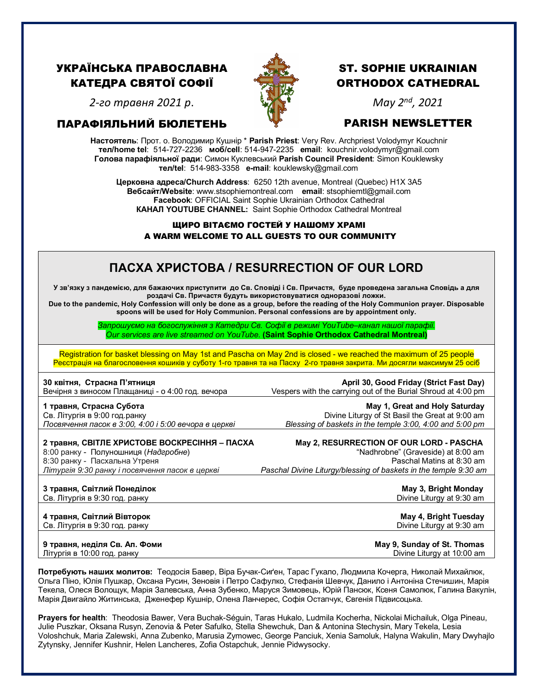## УКРАЇНСЬКА ПРАВОСЛАВНА КАТЕДРА СВЯТОЇ СОФІЇ



# ST. SOPHIE UKRAINIAN ORTHODOX CATHEDRAL

*2-го травня 2021 р*.

## ПАРАФІЯЛЬНИЙ БЮЛЕТЕНЬ

## *May 2nd, 2021*

PARISH NEWSLETTER **Настоятель**: Прот. о. Володимир Кушнір \* **Parish Priest**: Very Rev. Archpriest Volodymyr Kouchnir **тел/home tel**: 514-727-2236 **моб/cell**: 514-947-2235 **email**: kouchnir.volodymyr@gmail.com **Голова парафіяльної ради**: Симон Куклевський **Parish Council President**: Simon Kouklewsky  **тел/tel**: 514-983-3358 **e-mail**: kouklewsky@gmail.com

**Церковна адреса/Church Address**: 6250 12th avenue, Montreal (Quebec) H1X 3A5 **Вебсайт/Website**: www.stsophiemontreal.com **email**: stsophiemtl@gmail.com **Facebook**: OFFICIAL Saint Sophie Ukrainian Orthodox Cathedral **КАНАЛ YOUTUBE CHANNEL:** Saint Sophie Orthodox Cathedral Montreal

### ЩИРО ВІТАЄМО ГОСТЕЙ У НАШОМУ ХРАМІ A WARM WELCOME TO ALL GUESTS TO OUR COMMUNITY

# **ПАСХА ХРИСТОВА / RESURRECTION OF OUR LORD**

**У зв'язку з пандемією, для бажаючих приступити до Св. Сповіді і Св. Причастя, буде проведена загальна Cповідь а для роздачі Св. Причастя будуть використовуватися одноразові ложки.**

**Due to the pandemic, Holy Confession will only be done as a group, before the reading of the Holy Communion prayer. Disposable spoons will be used for Holy Communion. Personal confessions are by appointment only.**

> *Запрошуємо на богослужіння з Катедри Св. Софії в режимі YouTube–канал нашої парафії. Our services are live streamed on YouTube.* **(Saint Sophie Orthodox Cathedral Montreal)**

Registration for basket blessing on May 1st and Pascha on May 2nd is closed - we reached the maximum of 25 people Реєстрація на благословення кошиків у суботу 1-го травня та на Пасху 2-го травня закрита. Ми досягли максимум 25 осіб

| 30 квітня, Страсна П'ятниця                          | April 30, Good Friday (Strict Fast Day)                          |
|------------------------------------------------------|------------------------------------------------------------------|
| Вечірня з виносом Плащаниці - о 4:00 год. вечора     | Vespers with the carrying out of the Burial Shroud at 4:00 pm    |
| 1 травня, Страсна Субота                             | May 1, Great and Holy Saturday                                   |
| Св. Літургія в 9:00 год. ранку                       | Divine Liturgy of St Basil the Great at 9:00 am                  |
| Посвячення пасок в 3:00, 4:00 і 5:00 вечора в церкві | Blessing of baskets in the temple 3:00, 4:00 and 5:00 pm         |
| 2 травня, СВІТЛЕ ХРИСТОВЕ ВОСКРЕСІННЯ – ПАСХА        | May 2, RESURRECTION OF OUR LORD - PASCHA                         |
| 8:00 ранку - Полуношниця (Надгробне)                 | "Nadhrobne" (Graveside) at 8:00 am                               |
| 8:30 ранку - Пасхальна Утреня                        | Paschal Matins at 8:30 am                                        |
| Літургія 9:30 ранку і посвячення пасок в церкві      | Paschal Divine Liturgy/blessing of baskets in the temple 9:30 am |

**3 травня, Світлий Понеділок Мау 3, Втіднок Мау 3, Втіднок Мау 3, Втіднок Мау 3, Втіднок Мау 3, Втіднок Мау 1, Втідн** Св. Літургія в 9:30 год. ранку Divine Liturgy at 9:30 am

**4 травня, Світлий Вівторок May 4, Bright Tuesday** Св. Літургія в 9:30 год. ранку Divine Liturgy at 9:30 am

**9 травня, неділя Св. Ап. Фоми May 9, Sunday of St. Thomas**<br>Літургія в 10:00 год. ранку Мартавич Мартавич Мартавич Мартавич Мартавич Оіуіпе Liturgy at 10:00 am Літургія в 10:00 год. ранку

**Потребують наших молитов:** Теодосія Бавер, Віра Бучак-Сиґен, Тарас Гукало, Людмила Кочерга, Николай Михайлюк, Ольгa Піно, Юлія Пушкар, Оксанa Русин, Зеновія і Петро Сафулко, Стефанія Шевчук, Данило і Антоніна Стечишин, Марія Текела, Олеся Волощук, Марія Залевська, Анна Зубенко, Маруся Зимовець, Юрій Пансюк, Ксеня Самолюк, Галина Вакулін, Марія Двигайло Житинська, Дженефер Кушнір, Олена Ланчерес, Софія Остапчук, Євгенія Підвисоцька.

**Prayers for health**: Theodosia Bawer, Vera Buchak-Séguin, Taras Hukalo, Ludmila Kocherha, Nickolai Michailuk, Olga Pineau, Julie Puszkar, Oksana Rusyn, Zenovia & Peter Safulko, Stella Shewchuk, Dan & Antonina Stechysin, Mary Tekela, Lesia Voloshchuk, Maria Zalewski, Anna Zubenko, Marusia Zymowec, George Panciuk, Xenia Samoluk, Halyna Wakulin, Mary Dwyhajlo Zytynsky, Jennifer Kushnir, Helen Lancheres, Zofia Ostapchuk, Jennie Pidwysocky.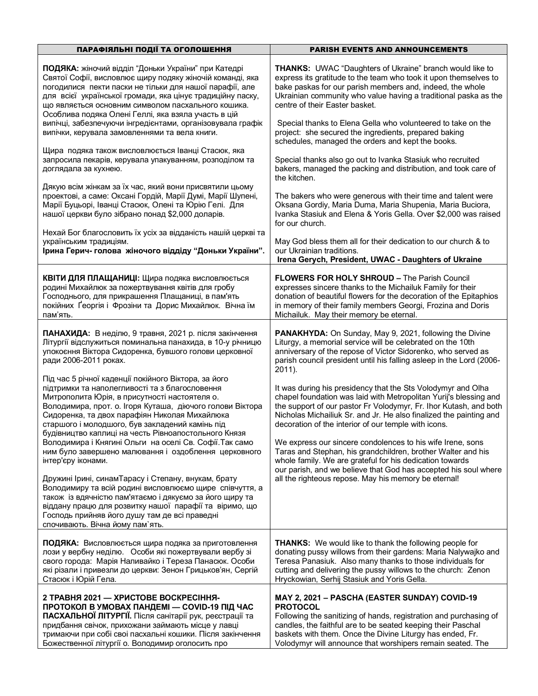| ПАРАФІЯЛЬНІ ПОДІЇ ТА ОГОЛОШЕННЯ                                                                                                                                                                                                                                                                                                                                                  | <b>PARISH EVENTS AND ANNOUNCEMENTS</b>                                                                                                                                                                                                                                                                                               |
|----------------------------------------------------------------------------------------------------------------------------------------------------------------------------------------------------------------------------------------------------------------------------------------------------------------------------------------------------------------------------------|--------------------------------------------------------------------------------------------------------------------------------------------------------------------------------------------------------------------------------------------------------------------------------------------------------------------------------------|
| ПОДЯКА: жіночий відділ "Доньки України" при Катедрі<br>Святої Софії, висловлює щиру подяку жіночій команді, яка<br>погодилися пекти паски не тільки для нашої парафії, але<br>для всієї української громади, яка цінує традиційну паску,<br>що являється основним символом пасхального кошика.<br>Особлива подяка Олені Геллі, яка взяла участь в цій                            | <b>THANKS:</b> UWAC "Daughters of Ukraine" branch would like to<br>express its gratitude to the team who took it upon themselves to<br>bake paskas for our parish members and, indeed, the whole<br>Ukrainian community who value having a traditional paska as the<br>centre of their Easter basket.                                |
| випічці, забезпечуючи інгредієнтами, організовувала графік<br>випічки, керувала замовленнями та вела книги.                                                                                                                                                                                                                                                                      | Special thanks to Elena Gella who volunteered to take on the<br>project: she secured the ingredients, prepared baking<br>schedules, managed the orders and kept the books.                                                                                                                                                           |
| Щира подяка також висловлюється Іванці Стасюк, яка<br>запросила пекарів, керувала упакуванням, розподілом та<br>доглядала за кухнею.                                                                                                                                                                                                                                             | Special thanks also go out to Ivanka Stasiuk who recruited<br>bakers, managed the packing and distribution, and took care of<br>the kitchen.                                                                                                                                                                                         |
| Дякую всім жінкам за їх час, який вони присвятили цьому<br>проектові, а саме: Оксані Гордій, Марії Думі, Марії Шупені,<br>Марії Буцьорі, Іванці Стасюк, Олені та Юрію Гелі. Для<br>нашої церкви було зібрано понад \$2,000 доларів.                                                                                                                                              | The bakers who were generous with their time and talent were<br>Oksana Gordiy, Maria Duma, Maria Shupenia, Maria Buciora,<br>Ivanka Stasiuk and Elena & Yoris Gella. Over \$2,000 was raised<br>for our church.                                                                                                                      |
| Нехай Бог благословить їх усіх за відданість нашій церкві та<br>українським традиціям.<br>Ірина Герич- голова жіночого віддіду "Доньки України".                                                                                                                                                                                                                                 | May God bless them all for their dedication to our church & to<br>our Ukrainian traditions.<br>Irena Gerych, President, UWAC - Daughters of Ukraine                                                                                                                                                                                  |
| КВІТИ ДЛЯ ПЛАЩАНИЦІ: Щира подяка висловлюється<br>родині Михайлюк за пожертвування квітів для гробу<br>Господнього, для прикрашення Плащаниці, в пам'ять<br>покійних Ґеоргія і Фрозіни та Дорис Михайлюк. Вічна їм<br>пам'ять.                                                                                                                                                   | <b>FLOWERS FOR HOLY SHROUD - The Parish Council</b><br>expresses sincere thanks to the Michailuk Family for their<br>donation of beautiful flowers for the decoration of the Epitaphios<br>in memory of their family members Georgi, Frozina and Doris<br>Michailuk. May their memory be eternal.                                    |
| ПАНАХИДА: В неділю, 9 травня, 2021 р. після закінчення<br>Літургії відслужиться поминальна панахида, в 10-у річницю<br>упокоєння Віктора Сидоренка, бувшого голови церковної<br>ради 2006-2011 роках.                                                                                                                                                                            | PANAKHYDA: On Sunday, May 9, 2021, following the Divine<br>Liturgy, a memorial service will be celebrated on the 10th<br>anniversary of the repose of Victor Sidorenko, who served as<br>parish council president until his falling asleep in the Lord (2006-<br>2011).                                                              |
| Під час 5 річної каденції покійного Віктора, за його<br>підтримки та наполегливості та з благословення<br>Митрополита Юрія, в присутності настоятеля о.<br>Володимира, прот. о. Ігоря Куташа, діючого голови Віктора<br>Сидоренка, та двох парафіян Николая Михайлюка<br>старшого і молодшого, був закладений камінь під<br>будівництво каплиці на честь Рівноапостольного Князя | It was during his presidency that the Sts Volodymyr and Olha<br>chapel foundation was laid with Metropolitan Yurij's blessing and<br>the support of our pastor Fr Volodymyr, Fr. Ihor Kutash, and both<br>Nicholas Michailiuk Sr. and Jr. He also finalized the painting and<br>decoration of the interior of our temple with icons. |
| Володимира і Княгині Ольги на оселі Св. Софії. Так само<br>ним було завершено малювання і оздоблення церковного<br>інтер'єру іконами.                                                                                                                                                                                                                                            | We express our sincere condolences to his wife Irene, sons<br>Taras and Stephan, his grandchildren, brother Walter and his<br>whole family. We are grateful for his dedication towards<br>our parish, and we believe that God has accepted his soul where                                                                            |
| Дружині Ірині, синамТарасу і Степану, внукам, брату<br>Володимиру та всій родині висловлюємо щире співчуття, а<br>також із вдячністю пам'ятаємо і дякуємо за його щиру та<br>віддану працю для розвитку нашої парафії та віримо, що<br>Господь прийняв його душу там де всі праведні<br>спочивають. Вічна йому пам'ять.                                                          | all the righteous repose. May his memory be eternal!                                                                                                                                                                                                                                                                                 |
| ПОДЯКА: Висловлюється щира подяка за приготовлення<br>лози у вербну неділю. Особи які пожертвували вербу зі<br>свого города: Марія Наливайко і Тереза Панасюк. Особи<br>які різали і привезли до церкви: Зенон Грицьков'ян, Сергій<br>Стасюк і Юрій Гела.                                                                                                                        | <b>THANKS:</b> We would like to thank the following people for<br>donating pussy willows from their gardens: Maria Nalywajko and<br>Teresa Panasiuk. Also many thanks to those individuals for<br>cutting and delivering the pussy willows to the church: Zenon<br>Hryckowian, Serhij Stasiuk and Yoris Gella.                       |
| 2 ТРАВНЯ 2021 — ХРИСТОВЕ ВОСКРЕСІННЯ-<br>ПРОТОКОЛ В УМОВАХ ПАНДЕМІ — COVID-19 ПІД ЧАС<br>ПАСХАЛЬНОЇ ЛІТУРГІЇ. Після санітарії рук, реєстрації та<br>придбання свічок, прихожани займають місце у лавці<br>тримаючи при собі своі пасхальні кошики. Після закінчення<br>Божественної літургії о. Володимир оголосить про                                                          | MAY 2, 2021 - PASCHA (EASTER SUNDAY) COVID-19<br><b>PROTOCOL</b><br>Following the sanitizing of hands, registration and purchasing of<br>candles, the faithful are to be seated keeping their Paschal<br>baskets with them. Once the Divine Liturgy has ended, Fr.<br>Volodymyr will announce that worshipers remain seated. The     |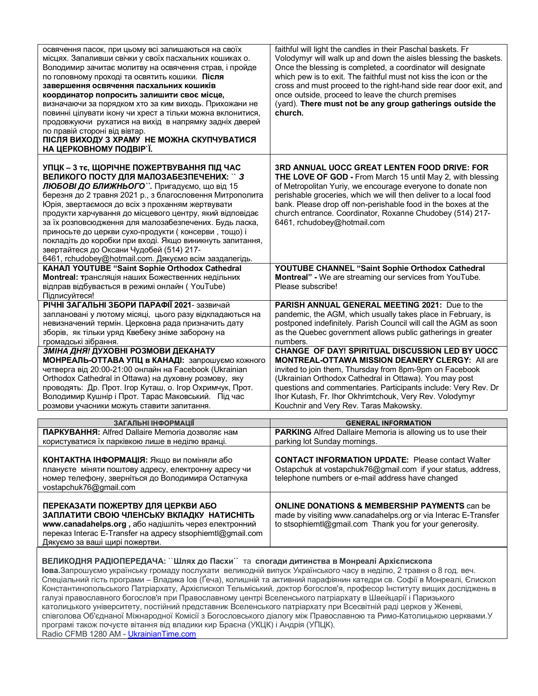| освячення пасок, при цьому всі залишаються на своїх<br>місцях. Запаливши свічки у своїх пасхальних кошиках о.<br>Володимир зачитає молитву на освячення страв, і пройде<br>по головному проході та освятить кошики. Після<br>завершення освячення пасхальних кошиків<br>координатор попросить залишити своє місце,<br>визначаючи за порядком хто за ким виходь. Прихожани не<br>повинні цілувати ікону чи хрест а тільки можна вклонитися,<br>продовжуючи рухатися на вихід в напрямку задніх дверей<br>по правій стороні від вівтар.<br>ПІСЛЯ ВИХОДУ З ХРАМУ НЕ МОЖНА СКУПЧУВАТИСЯ<br>НА ЦЕРКОВНОМУ ПОДВІР'Ї. | faithful will light the candles in their Paschal baskets. Fr<br>Volodymyr will walk up and down the aisles blessing the baskets.<br>Once the blessing is completed, a coordinator will designate<br>which pew is to exit. The faithful must not kiss the icon or the<br>cross and must proceed to the right-hand side rear door exit, and<br>once outside, proceed to leave the church premises<br>(yard). There must not be any group gatherings outside the<br>church. |
|----------------------------------------------------------------------------------------------------------------------------------------------------------------------------------------------------------------------------------------------------------------------------------------------------------------------------------------------------------------------------------------------------------------------------------------------------------------------------------------------------------------------------------------------------------------------------------------------------------------|--------------------------------------------------------------------------------------------------------------------------------------------------------------------------------------------------------------------------------------------------------------------------------------------------------------------------------------------------------------------------------------------------------------------------------------------------------------------------|
| УПЦК - 3 тє, ЩОРІЧНЕ ПОЖЕРТВУВАННЯ ПІД ЧАС<br>ВЕЛИКОГО ПОСТУ ДЛЯ МАЛОЗАБЕЗПЕЧЕНИХ: ` 3<br>ЛЮБОВІ ДО БЛИЖНЬОГО". Пригадуємо, що від 15<br>березня до 2 травня 2021 р., з благословення Митрополита<br>Юрія, звертаємося до всіх з проханням жертвувати<br>продукти харчування до місцевого центру, який відповідає<br>за їх розповсюдження для малозабезпечених. Будь ласка,<br>приносьте до церкви сухо-продукти (консерви, тощо) і<br>покладіть до коробки при вході. Якщо виникнуть запитання,<br>звертайтеся до Оксани Чудобей (514) 217-<br>6461, rchudobey@hotmail.com. Дякуємо всім заздалегідь.         | <b>3RD ANNUAL UOCC GREAT LENTEN FOOD DRIVE: FOR</b><br>THE LOVE OF GOD - From March 15 until May 2, with blessing<br>of Metropolitan Yuriy, we encourage everyone to donate non<br>perishable groceries, which we will then deliver to a local food<br>bank. Please drop off non-perishable food in the boxes at the<br>church entrance. Coordinator, Roxanne Chudobey (514) 217-<br>6461, rchudobey@hotmail.com                                                         |
| КАНАЛ YOUTUBE "Saint Sophie Orthodox Cathedral<br>Montreal: трансляція наших Божественних недільних<br>відправ відбувається в режимі онлайн (YouTube)<br>Підписуйтеся!                                                                                                                                                                                                                                                                                                                                                                                                                                         | YOUTUBE CHANNEL "Saint Sophie Orthodox Cathedral<br>Montreal" - We are streaming our services from YouTube.<br>Please subscribe!                                                                                                                                                                                                                                                                                                                                         |
| РІЧНІ ЗАГАЛЬНІ ЗБОРИ ПАРАФІЇ 2021- зазвичай<br>заплановані у лютому місяці, цього разу відкладаються на<br>невизначений термін. Церковна рада призначить дату<br>зборів, як тільки уряд Квебеку зніме заборону на<br>громадські зібрання.                                                                                                                                                                                                                                                                                                                                                                      | PARISH ANNUAL GENERAL MEETING 2021: Due to the<br>pandemic, the AGM, which usually takes place in February, is<br>postponed indefinitely. Parish Council will call the AGM as soon<br>as the Quebec government allows public gatherings in greater<br>numbers.                                                                                                                                                                                                           |
| ЗМІНА ДНЯ! ДУХОВНІ РОЗМОВИ ДЕКАНАТУ<br>МОНРЕАЛЬ-ОТТАВА УПЦ в КАНАДІ: запрошуємо кожного<br>четверга від 20:00-21:00 онлайн на Facebook (Ukrainian<br>Orthodox Cathedral in Ottawa) на духовну розмову, яку<br>проводять: Др. Прот. Ігор Куташ, о. Ігор Охримчук, Прот.<br>Володимир Кушнір і Прот. Тарас Маковський. Під час<br>розмови учасники можуть ставити запитання.                                                                                                                                                                                                                                     | CHANGE OF DAY! SPIRITUAL DISCUSSION LED BY UOCC<br>MONTREAL-OTTAWA MISSION DEANERY CLERGY: All are<br>invited to join them, Thursday from 8pm-9pm on Facebook<br>(Ukrainian Orthodox Cathedral in Ottawa). You may post<br>questions and commentaries. Participants include: Very Rev. Dr<br>Ihor Kutash, Fr. Ihor Okhrimtchouk, Very Rev. Volodymyr<br>Kouchnir and Very Rev. Taras Makowsky.                                                                           |
| ЗАГАЛЬНІ ІНФОРМАЦІЇ                                                                                                                                                                                                                                                                                                                                                                                                                                                                                                                                                                                            | <b>GENERAL INFORMATION</b>                                                                                                                                                                                                                                                                                                                                                                                                                                               |
| ПАРКУВАННЯ: Alfred Dallaire Memoria дозволяє нам<br>користуватися їх парківкою лише в неділю вранці.                                                                                                                                                                                                                                                                                                                                                                                                                                                                                                           | <b>PARKING</b> Alfred Dallaire Memoria is allowing us to use their<br>parking lot Sunday mornings.                                                                                                                                                                                                                                                                                                                                                                       |
| КОНТАКТНА ІНФОРМАЦІЯ: Якщо ви поміняли або<br>плануєте міняти поштову адресу, електронну адресу чи<br>номер телефону, зверніться до Володимира Остапчука<br>vostapchuk76@gmail.com                                                                                                                                                                                                                                                                                                                                                                                                                             | <b>CONTACT INFORMATION UPDATE: Please contact Walter</b><br>Ostapchuk at vostapchuk76@gmail.com if your status, address,<br>telephone numbers or e-mail address have changed                                                                                                                                                                                                                                                                                             |
| ПЕРЕКАЗАТИ ПОЖЕРТВУ ДЛЯ ЦЕРКВИ АБО<br>ЗАПЛАТИТИ СВОЮ ЧЛЕНСЬКУ ВКЛАДКУ НАТИСНІТЬ<br>www.canadahelps.org, або надішліть через електронний<br>переказ Interac E-Transfer на адресу stsophiemtl@gmail.com<br>Дякуємо за ваші щирі пожертви.                                                                                                                                                                                                                                                                                                                                                                        | <b>ONLINE DONATIONS &amp; MEMBERSHIP PAYMENTS</b> can be<br>made by visiting www.canadahelps.org or via Interac E-Transfer<br>to stsophiemtl@gmail.com Thank you for your generosity.                                                                                                                                                                                                                                                                                    |

#### **ВЕЛИКОДНЯ РАДІОПЕРЕДАЧА:** ``**Шлях до Пасхи``** та **спогади дитинства в Монреалі Архієпископа**

**Іова.**Запрошуємо українську громаду послухати великодній випуск Українського часу в неділю, 2 травня о 8 год. веч. Спеціальний гість програми – Владика Іов (Ґеча), колишній та активний парафіянин катедри св. Софії в Монреалі, Єпископ Константинопольського Патріархату, Архієпископ Тельміський, доктор богослов'я, професор Інституту вищих досліджень в галузі православного богослов'я при Православному центрі Вселенського патріархату в Швейцарії і Паризького католицького університету, постійний представник Вселенського патріархату при Всесвітній раді церков у Женеві, співголова Об'єднаної Міжнародної Комісії з Богословського діалогу між Православною та Римо-Католицькою церквами.У програмі також почуєте вітання від владики кир Браєна (УКЦК) і Андрія (УПЦК). Radio CFMB 1280 AM - UkrainianTime.com